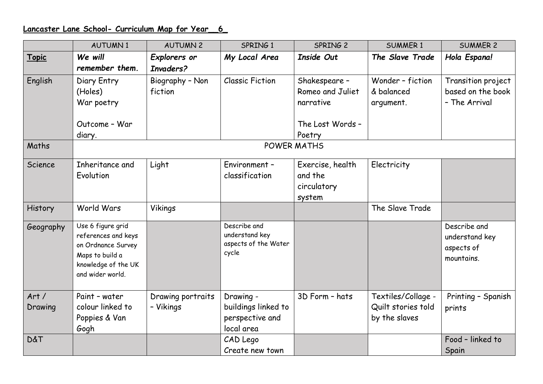## **Lancaster Lane School- Curriculum Map for Year\_\_6\_**

|                 | <b>AUTUMN1</b>                                                                                                               | <b>AUTUMN 2</b>                | SPRING 1                                                          | SPRING 2         | <b>SUMMER 1</b>                                           | <b>SUMMER 2</b>                                            |  |  |  |  |
|-----------------|------------------------------------------------------------------------------------------------------------------------------|--------------------------------|-------------------------------------------------------------------|------------------|-----------------------------------------------------------|------------------------------------------------------------|--|--|--|--|
| Topic           | We will                                                                                                                      | Explorers or                   | My Local Area                                                     | Inside Out       | The Slave Trade                                           | Hola Espana!                                               |  |  |  |  |
|                 | remember them.                                                                                                               | Invaders?                      |                                                                   |                  |                                                           |                                                            |  |  |  |  |
| English         | Diary Entry                                                                                                                  | Biography - Non                | <b>Classic Fiction</b>                                            | Shakespeare -    | Wonder - fiction                                          | Transition project                                         |  |  |  |  |
|                 | (Holes)                                                                                                                      | fiction                        |                                                                   | Romeo and Juliet | & balanced                                                | based on the book                                          |  |  |  |  |
|                 | War poetry                                                                                                                   |                                |                                                                   | narrative        | argument.                                                 | - The Arrival                                              |  |  |  |  |
|                 |                                                                                                                              |                                |                                                                   |                  |                                                           |                                                            |  |  |  |  |
|                 | Outcome - War                                                                                                                |                                |                                                                   | The Lost Words - |                                                           |                                                            |  |  |  |  |
|                 | diary.                                                                                                                       |                                |                                                                   | Poetry           |                                                           |                                                            |  |  |  |  |
| Maths           | <b>POWER MATHS</b>                                                                                                           |                                |                                                                   |                  |                                                           |                                                            |  |  |  |  |
| Science         | Inheritance and                                                                                                              | Light                          | Environment -                                                     | Exercise, health | Electricity                                               |                                                            |  |  |  |  |
|                 | Evolution                                                                                                                    |                                | classification                                                    | and the          |                                                           |                                                            |  |  |  |  |
|                 |                                                                                                                              |                                |                                                                   | circulatory      |                                                           |                                                            |  |  |  |  |
|                 |                                                                                                                              |                                |                                                                   | system           |                                                           |                                                            |  |  |  |  |
| History         | World Wars                                                                                                                   | Vikings                        |                                                                   |                  | The Slave Trade                                           |                                                            |  |  |  |  |
| Geography       | Use 6 figure grid<br>references and keys<br>on Ordnance Survey<br>Maps to build a<br>knowledge of the UK<br>and wider world. |                                | Describe and<br>understand key<br>aspects of the Water<br>cycle   |                  |                                                           | Describe and<br>understand key<br>aspects of<br>mountains. |  |  |  |  |
| Art/<br>Drawing | Paint - water<br>colour linked to<br>Poppies & Van<br>Gogh                                                                   | Drawing portraits<br>- Vikings | Drawing -<br>buildings linked to<br>perspective and<br>local area | 3D Form - hats   | Textiles/Collage -<br>Quilt stories told<br>by the slaves | Printing - Spanish<br>prints                               |  |  |  |  |
| <b>D&amp;T</b>  |                                                                                                                              |                                | CAD Lego                                                          |                  |                                                           | Food - linked to                                           |  |  |  |  |
|                 |                                                                                                                              |                                | Create new town                                                   |                  |                                                           | Spain                                                      |  |  |  |  |